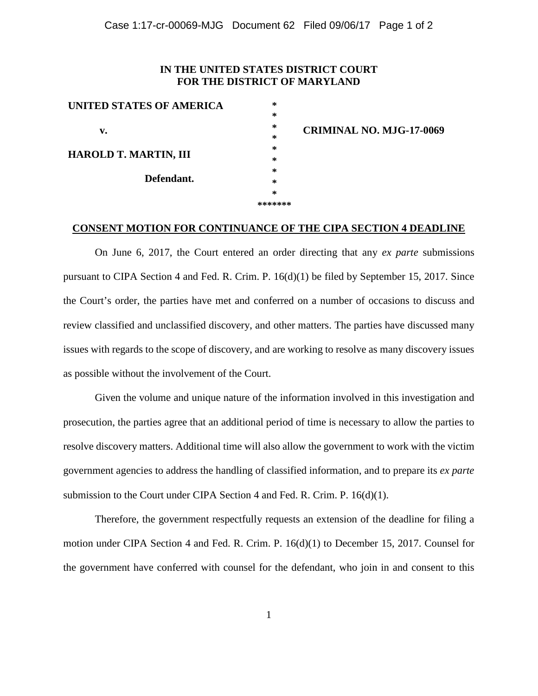## **IN THE UNITED STATES DISTRICT COURT FOR THE DISTRICT OF MARYLAND**

| UNITED STATES OF AMERICA                   | $\ast$ |
|--------------------------------------------|--------|
|                                            | $\ast$ |
| v.                                         | $\ast$ |
| <b>HAROLD T. MARTIN, III</b><br>Defendant. | $\ast$ |
|                                            | $\ast$ |
|                                            | $\ast$ |
|                                            | $\ast$ |
|                                            | *      |
|                                            | *      |
|                                            |        |

**CRIMINAL NO. MJG-17-0069**

## **\*\*\*\*\*\*\***

## **CONSENT MOTION FOR CONTINUANCE OF THE CIPA SECTION 4 DEADLINE**

On June 6, 2017, the Court entered an order directing that any *ex parte* submissions pursuant to CIPA Section 4 and Fed. R. Crim. P. 16(d)(1) be filed by September 15, 2017. Since the Court's order, the parties have met and conferred on a number of occasions to discuss and review classified and unclassified discovery, and other matters. The parties have discussed many issues with regards to the scope of discovery, and are working to resolve as many discovery issues as possible without the involvement of the Court.

Given the volume and unique nature of the information involved in this investigation and prosecution, the parties agree that an additional period of time is necessary to allow the parties to resolve discovery matters. Additional time will also allow the government to work with the victim government agencies to address the handling of classified information, and to prepare its *ex parte* submission to the Court under CIPA Section 4 and Fed. R. Crim. P. 16(d)(1).

Therefore, the government respectfully requests an extension of the deadline for filing a motion under CIPA Section 4 and Fed. R. Crim. P. 16(d)(1) to December 15, 2017. Counsel for the government have conferred with counsel for the defendant, who join in and consent to this